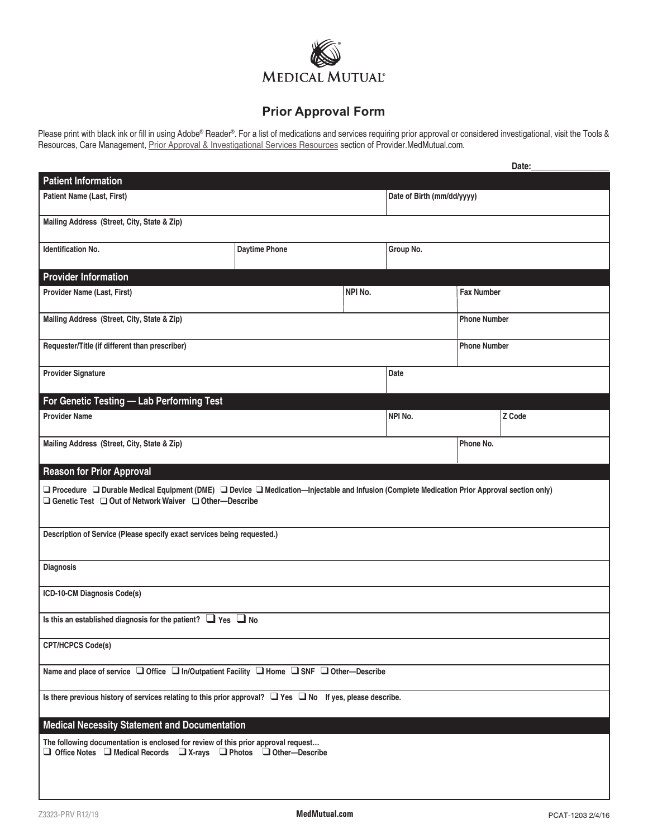

## **Prior Approval Form**

Please print with black ink or fill in using Adobe® Reader®. For a list of medications and services requiring prior approval or considered investigational, visit the Tools &<br>Resources, Care Management, <u>Prior Approval & In</u>

|                                                                                                                                                                                                                         |                      |         |                            |                     | Date:  |  |  |
|-------------------------------------------------------------------------------------------------------------------------------------------------------------------------------------------------------------------------|----------------------|---------|----------------------------|---------------------|--------|--|--|
| <b>Patient Information</b>                                                                                                                                                                                              |                      |         |                            |                     |        |  |  |
| <b>Patient Name (Last, First)</b>                                                                                                                                                                                       |                      |         | Date of Birth (mm/dd/yyyy) |                     |        |  |  |
| Mailing Address (Street, City, State & Zip)                                                                                                                                                                             |                      |         |                            |                     |        |  |  |
| <b>Identification No.</b>                                                                                                                                                                                               | <b>Daytime Phone</b> |         | Group No.                  |                     |        |  |  |
| <b>Provider Information</b>                                                                                                                                                                                             |                      |         |                            |                     |        |  |  |
| Provider Name (Last, First)                                                                                                                                                                                             |                      | NPI No. | <b>Fax Number</b>          |                     |        |  |  |
| Mailing Address (Street, City, State & Zip)                                                                                                                                                                             |                      |         | <b>Phone Number</b>        |                     |        |  |  |
| Requester/Title (if different than prescriber)                                                                                                                                                                          |                      |         |                            | <b>Phone Number</b> |        |  |  |
| <b>Provider Signature</b>                                                                                                                                                                                               |                      |         | Date                       |                     |        |  |  |
| For Genetic Testing - Lab Performing Test                                                                                                                                                                               |                      |         |                            |                     |        |  |  |
| <b>Provider Name</b>                                                                                                                                                                                                    |                      |         | NPI No.                    |                     | Z Code |  |  |
| Mailing Address (Street, City, State & Zip)                                                                                                                                                                             |                      |         |                            | Phone No.           |        |  |  |
| <b>Reason for Prior Approval</b>                                                                                                                                                                                        |                      |         |                            |                     |        |  |  |
| □ Procedure □ Durable Medical Equipment (DME) □ Device □ Medication—Injectable and Infusion (Complete Medication Prior Approval section only)<br>$\Box$ Genetic Test $\Box$ Out of Network Waiver $\Box$ Other-Describe |                      |         |                            |                     |        |  |  |
| Description of Service (Please specify exact services being requested.)                                                                                                                                                 |                      |         |                            |                     |        |  |  |
| <b>Diagnosis</b>                                                                                                                                                                                                        |                      |         |                            |                     |        |  |  |
| ICD-10-CM Diagnosis Code(s)                                                                                                                                                                                             |                      |         |                            |                     |        |  |  |
| Is this an established diagnosis for the patient? $\Box$ Yes $\Box$ No                                                                                                                                                  |                      |         |                            |                     |        |  |  |
| <b>CPT/HCPCS Code(s)</b>                                                                                                                                                                                                |                      |         |                            |                     |        |  |  |
| Name and place of service □ Office □ In/Outpatient Facility □ Home □ SNF □ Other-Describe                                                                                                                               |                      |         |                            |                     |        |  |  |
| Is there previous history of services relating to this prior approval? $\Box$ Yes $\Box$ No If yes, please describe.                                                                                                    |                      |         |                            |                     |        |  |  |
| <b>Medical Necessity Statement and Documentation</b>                                                                                                                                                                    |                      |         |                            |                     |        |  |  |
| The following documentation is enclosed for review of this prior approval request<br>□ Office Notes □ Medical Records □ X-rays □ Photos □ Other-Describe                                                                |                      |         |                            |                     |        |  |  |
|                                                                                                                                                                                                                         |                      |         |                            |                     |        |  |  |